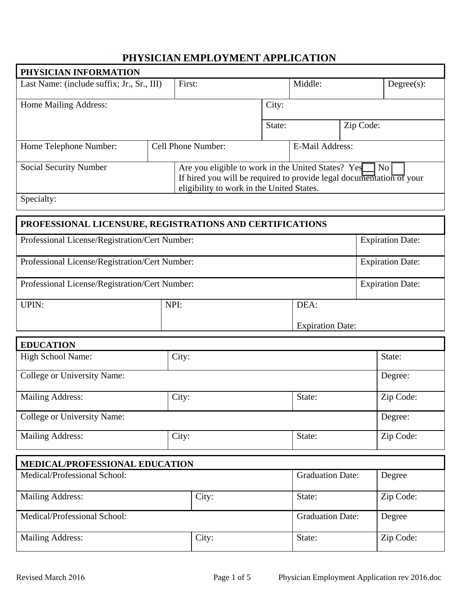## PHYSICIAN EMPLOYMENT APPLICATION

| PHYSICIAN INFORMATION                                    |  |                                                                      |        |                        |           |               |
|----------------------------------------------------------|--|----------------------------------------------------------------------|--------|------------------------|-----------|---------------|
| Last Name: (include suffix; Jr., Sr., III)               |  | First:                                                               |        | Middle:                |           | $Degree(s)$ : |
|                                                          |  |                                                                      |        |                        |           |               |
| Home Mailing Address:                                    |  |                                                                      | City:  |                        |           |               |
|                                                          |  |                                                                      |        |                        |           |               |
|                                                          |  |                                                                      | State: |                        | Zip Code: |               |
|                                                          |  |                                                                      |        |                        |           |               |
| Home Telephone Number:                                   |  | Cell Phone Number:                                                   |        | <b>E-Mail Address:</b> |           |               |
|                                                          |  |                                                                      |        |                        |           |               |
| <b>Social Security Number</b>                            |  | Are you eligible to work in the United States? Yes                   |        |                        | No        |               |
|                                                          |  | If hired you will be required to provide legal documentation of your |        |                        |           |               |
|                                                          |  | eligibility to work in the United States.                            |        |                        |           |               |
| Specialty:                                               |  |                                                                      |        |                        |           |               |
|                                                          |  |                                                                      |        |                        |           |               |
| PROFESSIONAL LICENSURE, REGISTRATIONS AND CERTIFICATIONS |  |                                                                      |        |                        |           |               |

| Professional License/Registration/Cert Number: |      |                         | <b>Expiration Date:</b> |
|------------------------------------------------|------|-------------------------|-------------------------|
| Professional License/Registration/Cert Number: |      |                         | <b>Expiration Date:</b> |
| Professional License/Registration/Cert Number: |      |                         | <b>Expiration Date:</b> |
| UPIN:                                          | NPI: | DEA:                    |                         |
|                                                |      | <b>Expiration Date:</b> |                         |

| <b>EDUCATION</b>            |       |        |           |
|-----------------------------|-------|--------|-----------|
| <b>High School Name:</b>    | City: |        |           |
| College or University Name: |       |        | Degree:   |
| <b>Mailing Address:</b>     | City: | State: | Zip Code: |
| College or University Name: |       |        | Degree:   |
| <b>Mailing Address:</b>     | City: | State: | Zip Code: |

| <b>MEDICAL/PROFESSIONAL EDUCATION</b> |       |                         |           |  |  |
|---------------------------------------|-------|-------------------------|-----------|--|--|
| Medical/Professional School:          |       | <b>Graduation Date:</b> | Degree    |  |  |
| <b>Mailing Address:</b>               | City: | State:                  | Zip Code: |  |  |
| Medical/Professional School:          |       | <b>Graduation Date:</b> | Degree    |  |  |
| Mailing Address:                      | City: | State:                  | Zip Code: |  |  |

Г

٦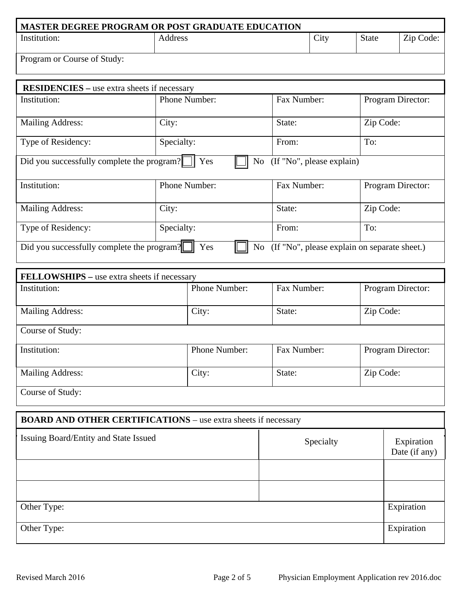| MASTER DEGREE PROGRAM OR POST GRADUATE EDUCATION |         |      |              |           |
|--------------------------------------------------|---------|------|--------------|-----------|
| Institution:                                     | Address | City | <b>State</b> | Zip Code: |
| Program or Course of Study:                      |         |      |              |           |

| <b>RESIDENCIES</b> – use extra sheets if necessary                                                      |                      |                           |                   |  |  |  |
|---------------------------------------------------------------------------------------------------------|----------------------|---------------------------|-------------------|--|--|--|
| Institution:                                                                                            | <b>Phone Number:</b> | Fax Number:               | Program Director: |  |  |  |
| <b>Mailing Address:</b>                                                                                 | City:                | State:                    | Zip Code:         |  |  |  |
| Type of Residency:                                                                                      | Specialty:           | From:                     | To:               |  |  |  |
| Did you successfully complete the program?                                                              | Yes<br>No            | (If "No", please explain) |                   |  |  |  |
| Institution:                                                                                            | Phone Number:        | Fax Number:               | Program Director: |  |  |  |
| <b>Mailing Address:</b>                                                                                 | City:                | State:                    | Zip Code:         |  |  |  |
| Type of Residency:                                                                                      | Specialty:           | From:                     | To:               |  |  |  |
| (If "No", please explain on separate sheet.)<br>Did you successfully complete the program?<br>Yes<br>No |                      |                           |                   |  |  |  |

| FELLOWSHIPS - use extra sheets if necessary |               |             |                   |
|---------------------------------------------|---------------|-------------|-------------------|
| Institution:                                | Phone Number: | Fax Number: | Program Director: |
| <b>Mailing Address:</b>                     | City:         | State:      | Zip Code:         |
| Course of Study:                            |               |             |                   |
| Institution:                                | Phone Number: | Fax Number: | Program Director: |
| <b>Mailing Address:</b>                     | City:         | State:      | Zip Code:         |
| Course of Study:                            |               |             |                   |

| <b>BOARD AND OTHER CERTIFICATIONS</b> – use extra sheets if necessary |           |                             |  |  |  |
|-----------------------------------------------------------------------|-----------|-----------------------------|--|--|--|
| Issuing Board/Entity and State Issued                                 | Specialty | Expiration<br>Date (if any) |  |  |  |
|                                                                       |           |                             |  |  |  |
|                                                                       |           |                             |  |  |  |
| Other Type:                                                           |           | Expiration                  |  |  |  |
| Other Type:                                                           |           | Expiration                  |  |  |  |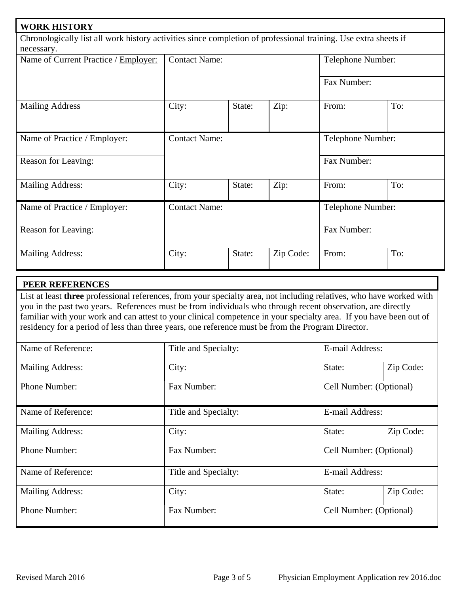| <b>WORK HISTORY</b>                                                                                             |                                           |        |                   |                   |     |  |
|-----------------------------------------------------------------------------------------------------------------|-------------------------------------------|--------|-------------------|-------------------|-----|--|
| Chronologically list all work history activities since completion of professional training. Use extra sheets if |                                           |        |                   |                   |     |  |
| necessary.                                                                                                      |                                           |        |                   |                   |     |  |
| Name of Current Practice / Employer:                                                                            | <b>Contact Name:</b>                      |        |                   | Telephone Number: |     |  |
|                                                                                                                 |                                           |        |                   | Fax Number:       |     |  |
| <b>Mailing Address</b>                                                                                          | City:                                     | State: | Zip:              | From:             | To: |  |
| Name of Practice / Employer:                                                                                    | <b>Contact Name:</b>                      |        | Telephone Number: |                   |     |  |
| Reason for Leaving:                                                                                             |                                           |        |                   | Fax Number:       |     |  |
| <b>Mailing Address:</b>                                                                                         | City:                                     | State: | Zip:              | From:             | To: |  |
| Name of Practice / Employer:                                                                                    | <b>Contact Name:</b><br>Telephone Number: |        |                   |                   |     |  |
| Reason for Leaving:                                                                                             |                                           |        |                   | Fax Number:       |     |  |
| <b>Mailing Address:</b>                                                                                         | City:                                     | State: | Zip Code:         | From:             | To: |  |

## PEER REFERENCES

List at least three professional references, from your specialty area, not including relatives, who have worked with you in the past two years. References must be from individuals who through recent observation, are directly familiar with your work and can attest to your clinical competence in your specialty area. If you have been out of residency for a period of less than three years, one reference must be from the Program Director.

| Name of Reference:      | Title and Specialty: | E-mail Address:         |           |
|-------------------------|----------------------|-------------------------|-----------|
| <b>Mailing Address:</b> | City:                | State:                  | Zip Code: |
| <b>Phone Number:</b>    | Fax Number:          | Cell Number: (Optional) |           |
| Name of Reference:      | Title and Specialty: | E-mail Address:         |           |
| <b>Mailing Address:</b> | City:                | State:                  | Zip Code: |
| Phone Number:           | Fax Number:          | Cell Number: (Optional) |           |
| Name of Reference:      | Title and Specialty: | E-mail Address:         |           |
| <b>Mailing Address:</b> | City:                | State:                  | Zip Code: |
| Phone Number:           | Fax Number:          | Cell Number: (Optional) |           |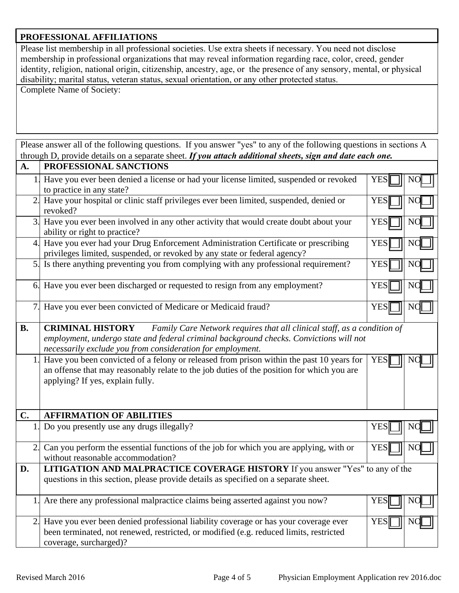## PROFESSIONAL AFFILIATIONS

Please list membership in all professional societies. Use extra sheets if necessary. You need not disclose membership in professional organizations that may reveal information regarding race, color, creed, gender identity, religion, national origin, citizenship, ancestry, age, or the presence of any sensory, mental, or physical disability; marital status, veteran status, sexual orientation, or any other protected status.

**Complete Name of Society:** 

Please answer all of the following questions. If you answer "yes" to any of the following questions in sections A through D, provide details on a separate sheet. If you attach additional sheets, sign and date each one.

| A.        | PROFESSIONAL SANCTIONS                                                                                                                                                                                                                                     |            |    |
|-----------|------------------------------------------------------------------------------------------------------------------------------------------------------------------------------------------------------------------------------------------------------------|------------|----|
| 1         | Have you ever been denied a license or had your license limited, suspended or revoked<br>to practice in any state?                                                                                                                                         | <b>YES</b> |    |
| 2.        | Have your hospital or clinic staff privileges ever been limited, suspended, denied or<br>revoked?                                                                                                                                                          | <b>YES</b> |    |
| 3.        | Have you ever been involved in any other activity that would create doubt about your<br>ability or right to practice?                                                                                                                                      | <b>YES</b> | N( |
| 4.        | Have you ever had your Drug Enforcement Administration Certificate or prescribing<br>privileges limited, suspended, or revoked by any state or federal agency?                                                                                             | <b>YES</b> |    |
|           | 5. Is there anything preventing you from complying with any professional requirement?                                                                                                                                                                      | <b>YES</b> |    |
|           | 6. Have you ever been discharged or requested to resign from any employment?                                                                                                                                                                               | <b>YES</b> |    |
| 7.        | Have you ever been convicted of Medicare or Medicaid fraud?                                                                                                                                                                                                | <b>YES</b> |    |
| <b>B.</b> | Family Care Network requires that all clinical staff, as a condition of<br><b>CRIMINAL HISTORY</b><br>employment, undergo state and federal criminal background checks. Convictions will not<br>necessarily exclude you from consideration for employment. |            |    |
| 1.        | Have you been convicted of a felony or released from prison within the past 10 years for<br>an offense that may reasonably relate to the job duties of the position for which you are<br>applying? If yes, explain fully.                                  | <b>YES</b> |    |
| C.        | <b>AFFIRMATION OF ABILITIES</b>                                                                                                                                                                                                                            |            |    |
| 1.        | Do you presently use any drugs illegally?                                                                                                                                                                                                                  | <b>YES</b> |    |
| 2.        | Can you perform the essential functions of the job for which you are applying, with or<br>without reasonable accommodation?                                                                                                                                | <b>YES</b> |    |
| D.        | LITIGATION AND MALPRACTICE COVERAGE HISTORY If you answer "Yes" to any of the<br>questions in this section, please provide details as specified on a separate sheet.                                                                                       |            |    |
| 1.        | Are there any professional malpractice claims being asserted against you now?                                                                                                                                                                              | <b>YES</b> |    |
| 2.        | Have you ever been denied professional liability coverage or has your coverage ever<br>been terminated, not renewed, restricted, or modified (e.g. reduced limits, restricted<br>coverage, surcharged)?                                                    | <b>YES</b> |    |